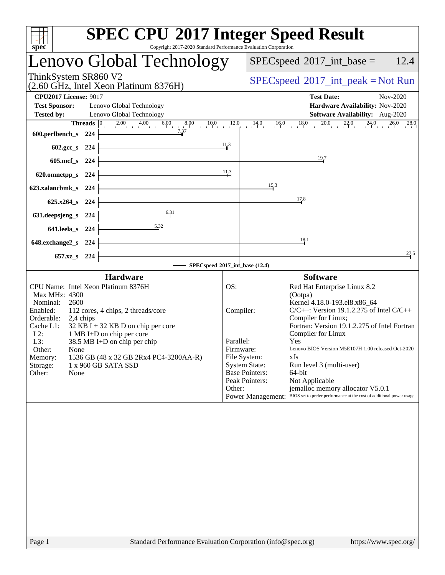| spec                                                                                                                                                                                                     | <b>SPEC CPU®2017 Integer Speed Result</b><br>Copyright 2017-2020 Standard Performance Evaluation Corporation                                                                                             |                                                                                                                                         |                                                                                                                                                                                                                                                                                                                                                                                                                                                                                 |
|----------------------------------------------------------------------------------------------------------------------------------------------------------------------------------------------------------|----------------------------------------------------------------------------------------------------------------------------------------------------------------------------------------------------------|-----------------------------------------------------------------------------------------------------------------------------------------|---------------------------------------------------------------------------------------------------------------------------------------------------------------------------------------------------------------------------------------------------------------------------------------------------------------------------------------------------------------------------------------------------------------------------------------------------------------------------------|
| Lenovo Global Technology                                                                                                                                                                                 |                                                                                                                                                                                                          |                                                                                                                                         | 12.4<br>$SPEC speed^{\circ}2017\_int\_base =$                                                                                                                                                                                                                                                                                                                                                                                                                                   |
| ThinkSystem SR860 V2                                                                                                                                                                                     | (2.60 GHz, Intel Xeon Platinum 8376H)                                                                                                                                                                    |                                                                                                                                         | $SPEC speed^{\circ}2017\_int\_peak = Not Run$                                                                                                                                                                                                                                                                                                                                                                                                                                   |
| <b>CPU2017 License: 9017</b><br><b>Test Sponsor:</b><br><b>Tested by:</b>                                                                                                                                | Lenovo Global Technology<br>Lenovo Global Technology                                                                                                                                                     |                                                                                                                                         | <b>Test Date:</b><br>Nov-2020<br>Hardware Availability: Nov-2020<br>Software Availability: Aug-2020                                                                                                                                                                                                                                                                                                                                                                             |
| 600.perlbench_s 224                                                                                                                                                                                      | 7.37                                                                                                                                                                                                     |                                                                                                                                         | 26.0<br>28.0                                                                                                                                                                                                                                                                                                                                                                                                                                                                    |
| 602.gcc_s 224                                                                                                                                                                                            |                                                                                                                                                                                                          | 11,3                                                                                                                                    | $\frac{19}{4}7$                                                                                                                                                                                                                                                                                                                                                                                                                                                                 |
| 605.mcf s 224<br>620.omnetpp_s 224                                                                                                                                                                       |                                                                                                                                                                                                          | 11.3                                                                                                                                    |                                                                                                                                                                                                                                                                                                                                                                                                                                                                                 |
| 623.xalancbmk_s 224                                                                                                                                                                                      |                                                                                                                                                                                                          | 15.3                                                                                                                                    |                                                                                                                                                                                                                                                                                                                                                                                                                                                                                 |
| 625.x264_s 224<br>631.deepsjeng_s 224                                                                                                                                                                    | 6.31                                                                                                                                                                                                     |                                                                                                                                         | 17.8                                                                                                                                                                                                                                                                                                                                                                                                                                                                            |
| 641.leela_s 224                                                                                                                                                                                          | 5.32                                                                                                                                                                                                     |                                                                                                                                         |                                                                                                                                                                                                                                                                                                                                                                                                                                                                                 |
| 648.exchange2_s 224<br>657.xz <sub>_8</sub> 224                                                                                                                                                          |                                                                                                                                                                                                          |                                                                                                                                         | 18.1<br>27.5                                                                                                                                                                                                                                                                                                                                                                                                                                                                    |
|                                                                                                                                                                                                          |                                                                                                                                                                                                          | SPECspeed®2017_int_base (12.4)                                                                                                          |                                                                                                                                                                                                                                                                                                                                                                                                                                                                                 |
|                                                                                                                                                                                                          | <b>Hardware</b>                                                                                                                                                                                          |                                                                                                                                         | <b>Software</b>                                                                                                                                                                                                                                                                                                                                                                                                                                                                 |
| CPU Name: Intel Xeon Platinum 8376H<br>Max MHz: 4300<br>2600<br>Nominal:<br>Enabled:<br>Orderable:<br>2,4 chips<br>Cache L1:<br>$L2$ :<br>L3:<br>Other:<br>None<br>Memory:<br>Storage:<br>Other:<br>None | 112 cores, 4 chips, 2 threads/core<br>$32$ KB I + 32 KB D on chip per core<br>1 MB I+D on chip per core<br>38.5 MB I+D on chip per chip<br>1536 GB (48 x 32 GB 2Rx4 PC4-3200AA-R)<br>1 x 960 GB SATA SSD | OS:<br>Compiler:<br>Parallel:<br>Firmware:<br>File System:<br><b>System State:</b><br><b>Base Pointers:</b><br>Peak Pointers:<br>Other: | Red Hat Enterprise Linux 8.2<br>(Ootpa)<br>Kernel 4.18.0-193.el8.x86 64<br>$C/C++$ : Version 19.1.2.275 of Intel $C/C++$<br>Compiler for Linux;<br>Fortran: Version 19.1.2.275 of Intel Fortran<br>Compiler for Linux<br>Yes<br>Lenovo BIOS Version M5E107H 1.00 released Oct-2020<br>xfs<br>Run level 3 (multi-user)<br>64-bit<br>Not Applicable<br>jemalloc memory allocator V5.0.1<br>Power Management: BIOS set to prefer performance at the cost of additional power usage |
|                                                                                                                                                                                                          |                                                                                                                                                                                                          |                                                                                                                                         |                                                                                                                                                                                                                                                                                                                                                                                                                                                                                 |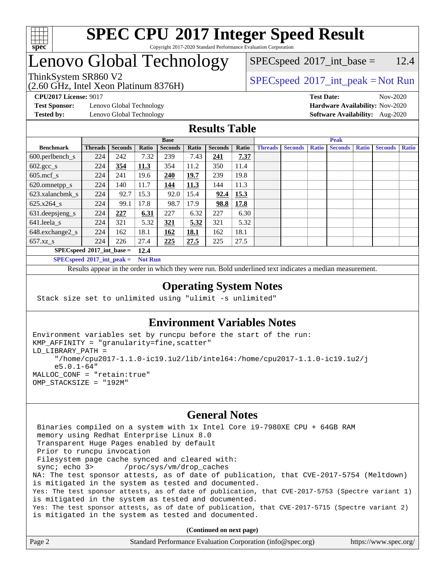

## Lenovo Global Technology

(2.60 GHz, Intel Xeon Platinum 8376H)

 $SPEC speed^{\circ}2017\_int\_base = 12.4$ 

## ThinkSystem SR860 V2<br>  $\begin{array}{c} \text{SPEC speed} \textdegree 2017\_int\_peak = Not Run \end{array}$

**[CPU2017 License:](http://www.spec.org/auto/cpu2017/Docs/result-fields.html#CPU2017License)** 9017 **[Test Date:](http://www.spec.org/auto/cpu2017/Docs/result-fields.html#TestDate)** Nov-2020

**[Test Sponsor:](http://www.spec.org/auto/cpu2017/Docs/result-fields.html#TestSponsor)** Lenovo Global Technology **[Hardware Availability:](http://www.spec.org/auto/cpu2017/Docs/result-fields.html#HardwareAvailability)** Nov-2020

**[Tested by:](http://www.spec.org/auto/cpu2017/Docs/result-fields.html#Testedby)** Lenovo Global Technology **[Software Availability:](http://www.spec.org/auto/cpu2017/Docs/result-fields.html#SoftwareAvailability)** Aug-2020

## **[Results Table](http://www.spec.org/auto/cpu2017/Docs/result-fields.html#ResultsTable)**

|                             | <b>Base</b>    |                |              |                |       |                | <b>Peak</b> |                |                |              |                |              |                |              |
|-----------------------------|----------------|----------------|--------------|----------------|-------|----------------|-------------|----------------|----------------|--------------|----------------|--------------|----------------|--------------|
| <b>Benchmark</b>            | <b>Threads</b> | <b>Seconds</b> | <b>Ratio</b> | <b>Seconds</b> | Ratio | <b>Seconds</b> | Ratio       | <b>Threads</b> | <b>Seconds</b> | <b>Ratio</b> | <b>Seconds</b> | <b>Ratio</b> | <b>Seconds</b> | <b>Ratio</b> |
| 600.perlbench_s             | 224            | 242            | 7.32         | 239            | 7.43  | <u>241</u>     | 7.37        |                |                |              |                |              |                |              |
| $602.\text{gcc}\_\text{s}$  | 224            | 354            | 11.3         | 354            | 11.2  | 350            | 11.4        |                |                |              |                |              |                |              |
| $605$ .mcf s                | 224            | 241            | 19.6         | 240            | 19.7  | 239            | 19.8        |                |                |              |                |              |                |              |
| 620.omnetpp_s               | 224            | 140            | 11.7         | 144            | 11.3  | 144            | 11.3        |                |                |              |                |              |                |              |
| 623.xalancbmk s             | 224            | 92.7           | 15.3         | 92.0           | 15.4  | 92.4           | 15.3        |                |                |              |                |              |                |              |
| $625.x264$ s                | 224            | 99.1           | 17.8         | 98.7           | 17.9  | 98.8           | 17.8        |                |                |              |                |              |                |              |
| 631.deepsjeng_s             | 224            | 227            | 6.31         | 227            | 6.32  | 227            | 6.30        |                |                |              |                |              |                |              |
| 641.leela s                 | 224            | 321            | 5.32         | 321            | 5.32  | 321            | 5.32        |                |                |              |                |              |                |              |
| 648.exchange2_s             | 224            | 162            | 18.1         | 162            | 18.1  | 162            | 18.1        |                |                |              |                |              |                |              |
| $657.xz$ s                  | 224            | 226            | 27.4         | 225            | 27.5  | 225            | 27.5        |                |                |              |                |              |                |              |
| $SPECspeed*2017$ int base = |                |                |              |                |       |                |             |                |                |              |                |              |                |              |

**[SPECspeed](http://www.spec.org/auto/cpu2017/Docs/result-fields.html#SPECspeed2017intpeak)[2017\\_int\\_peak =](http://www.spec.org/auto/cpu2017/Docs/result-fields.html#SPECspeed2017intpeak) Not Run**

Results appear in the [order in which they were run.](http://www.spec.org/auto/cpu2017/Docs/result-fields.html#RunOrder) Bold underlined text [indicates a median measurement.](http://www.spec.org/auto/cpu2017/Docs/result-fields.html#Median)

## **[Operating System Notes](http://www.spec.org/auto/cpu2017/Docs/result-fields.html#OperatingSystemNotes)**

Stack size set to unlimited using "ulimit -s unlimited"

## **[Environment Variables Notes](http://www.spec.org/auto/cpu2017/Docs/result-fields.html#EnvironmentVariablesNotes)**

```
Environment variables set by runcpu before the start of the run:
KMP_AFFINITY = "granularity=fine,scatter"
LD_LIBRARY_PATH =
      "/home/cpu2017-1.1.0-ic19.1u2/lib/intel64:/home/cpu2017-1.1.0-ic19.1u2/j
      e5.0.1-64"
MALLOC_CONF = "retain:true"
OMP_STACKSIZE = "192M"
```
### **[General Notes](http://www.spec.org/auto/cpu2017/Docs/result-fields.html#GeneralNotes)**

 Binaries compiled on a system with 1x Intel Core i9-7980XE CPU + 64GB RAM memory using Redhat Enterprise Linux 8.0 Transparent Huge Pages enabled by default Prior to runcpu invocation Filesystem page cache synced and cleared with: sync; echo 3> /proc/sys/vm/drop\_caches NA: The test sponsor attests, as of date of publication, that CVE-2017-5754 (Meltdown) is mitigated in the system as tested and documented. Yes: The test sponsor attests, as of date of publication, that CVE-2017-5753 (Spectre variant 1) is mitigated in the system as tested and documented. Yes: The test sponsor attests, as of date of publication, that CVE-2017-5715 (Spectre variant 2) is mitigated in the system as tested and documented.

**(Continued on next page)**

| Page 2 | Standard Performance Evaluation Corporation (info@spec.org) | https://www.spec.org/ |
|--------|-------------------------------------------------------------|-----------------------|
|--------|-------------------------------------------------------------|-----------------------|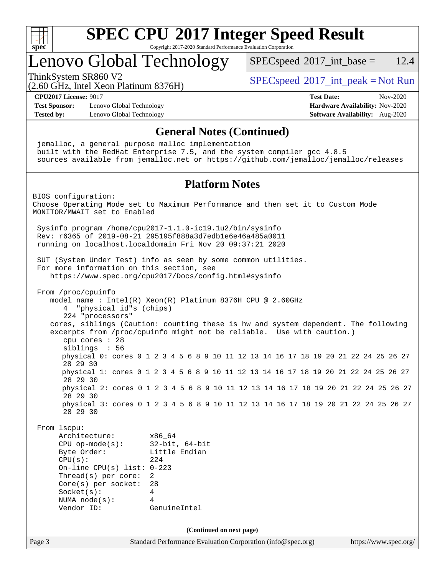

## Lenovo Global Technology

 $SPECspeed^{\circ}2017\_int\_base = 12.4$  $SPECspeed^{\circ}2017\_int\_base = 12.4$ 

(2.60 GHz, Intel Xeon Platinum 8376H)

ThinkSystem SR860 V2<br>  $\begin{array}{c} \text{SPEC speed} \textdegree 2017\_int\_peak = Not Run \end{array}$ 

**[CPU2017 License:](http://www.spec.org/auto/cpu2017/Docs/result-fields.html#CPU2017License)** 9017 **[Test Date:](http://www.spec.org/auto/cpu2017/Docs/result-fields.html#TestDate)** Nov-2020

**[Test Sponsor:](http://www.spec.org/auto/cpu2017/Docs/result-fields.html#TestSponsor)** Lenovo Global Technology **[Hardware Availability:](http://www.spec.org/auto/cpu2017/Docs/result-fields.html#HardwareAvailability)** Nov-2020 **[Tested by:](http://www.spec.org/auto/cpu2017/Docs/result-fields.html#Testedby)** Lenovo Global Technology **[Software Availability:](http://www.spec.org/auto/cpu2017/Docs/result-fields.html#SoftwareAvailability)** Aug-2020

Page 3 Standard Performance Evaluation Corporation [\(info@spec.org\)](mailto:info@spec.org) <https://www.spec.org/> **[General Notes \(Continued\)](http://www.spec.org/auto/cpu2017/Docs/result-fields.html#GeneralNotes)** jemalloc, a general purpose malloc implementation built with the RedHat Enterprise 7.5, and the system compiler gcc 4.8.5 sources available from jemalloc.net or <https://github.com/jemalloc/jemalloc/releases> **[Platform Notes](http://www.spec.org/auto/cpu2017/Docs/result-fields.html#PlatformNotes)** BIOS configuration: Choose Operating Mode set to Maximum Performance and then set it to Custom Mode MONITOR/MWAIT set to Enabled Sysinfo program /home/cpu2017-1.1.0-ic19.1u2/bin/sysinfo Rev: r6365 of 2019-08-21 295195f888a3d7edb1e6e46a485a0011 running on localhost.localdomain Fri Nov 20 09:37:21 2020 SUT (System Under Test) info as seen by some common utilities. For more information on this section, see <https://www.spec.org/cpu2017/Docs/config.html#sysinfo> From /proc/cpuinfo model name : Intel(R) Xeon(R) Platinum 8376H CPU @ 2.60GHz 4 "physical id"s (chips) 224 "processors" cores, siblings (Caution: counting these is hw and system dependent. The following excerpts from /proc/cpuinfo might not be reliable. Use with caution.) cpu cores : 28 siblings : 56 physical 0: cores 0 1 2 3 4 5 6 8 9 10 11 12 13 14 16 17 18 19 20 21 22 24 25 26 27 28 29 30 physical 1: cores 0 1 2 3 4 5 6 8 9 10 11 12 13 14 16 17 18 19 20 21 22 24 25 26 27 28 29 30 physical 2: cores 0 1 2 3 4 5 6 8 9 10 11 12 13 14 16 17 18 19 20 21 22 24 25 26 27 28 29 30 physical 3: cores 0 1 2 3 4 5 6 8 9 10 11 12 13 14 16 17 18 19 20 21 22 24 25 26 27 28 29 30 From lscpu: Architecture: x86\_64 CPU op-mode(s): 32-bit, 64-bit Byte Order: Little Endian  $CPU(s):$  224 On-line CPU(s) list: 0-223 Thread(s) per core: 2 Core(s) per socket: 28 Socket(s): 4 NUMA node(s): 4 Vendor ID: GenuineIntel **(Continued on next page)**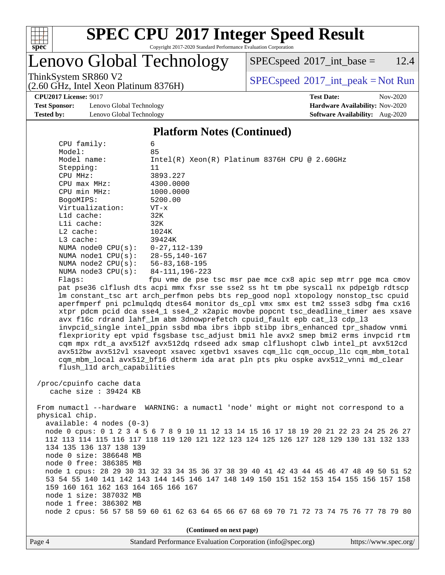

## Lenovo Global Technology

(2.60 GHz, Intel Xeon Platinum 8376H)

 $SPECspeed^{\circledcirc}2017\_int\_base = 12.4$  $SPECspeed^{\circledcirc}2017\_int\_base = 12.4$ 

ThinkSystem SR860 V2<br>  $\begin{array}{c} \text{SPEC speed} \textdegree 2017\_int\_peak = Not Run \end{array}$ 

**[Test Sponsor:](http://www.spec.org/auto/cpu2017/Docs/result-fields.html#TestSponsor)** Lenovo Global Technology **[Hardware Availability:](http://www.spec.org/auto/cpu2017/Docs/result-fields.html#HardwareAvailability)** Nov-2020 **[Tested by:](http://www.spec.org/auto/cpu2017/Docs/result-fields.html#Testedby)** Lenovo Global Technology **[Software Availability:](http://www.spec.org/auto/cpu2017/Docs/result-fields.html#SoftwareAvailability)** Aug-2020

**[CPU2017 License:](http://www.spec.org/auto/cpu2017/Docs/result-fields.html#CPU2017License)** 9017 **[Test Date:](http://www.spec.org/auto/cpu2017/Docs/result-fields.html#TestDate)** Nov-2020

#### **[Platform Notes \(Continued\)](http://www.spec.org/auto/cpu2017/Docs/result-fields.html#PlatformNotes)**

| CPU family:                         | 6                                                                                       |
|-------------------------------------|-----------------------------------------------------------------------------------------|
| Model:                              | 85                                                                                      |
| Model name:                         | $Intel(R) Xeon(R) Platinum 8376H CPU @ 2.60GHz$                                         |
| Stepping:                           | 11                                                                                      |
| CPU MHz:                            | 3893.227                                                                                |
| $CPU$ max $MHz$ :                   | 4300.0000                                                                               |
| CPU min MHz:                        | 1000.0000                                                                               |
| BogoMIPS:                           | 5200.00                                                                                 |
| Virtualization:                     | $VT - x$                                                                                |
| Lld cache:                          | 32K                                                                                     |
| Lli cache:                          | 32K                                                                                     |
| $L2$ cache:                         | 1024K                                                                                   |
| L3 cache:                           | 39424K                                                                                  |
| NUMA node0 CPU(s):                  | $0 - 27, 112 - 139$                                                                     |
| NUMA node1 CPU(s):                  | $28 - 55, 140 - 167$                                                                    |
| NUMA $node2$ $CPU(s):$              | 56-83,168-195                                                                           |
| NUMA $node3$ $CPU(s):$              | 84-111, 196-223                                                                         |
| Flaqs:                              | fpu vme de pse tsc msr pae mce cx8 apic sep mtrr pge mca cmov                           |
|                                     | pat pse36 clflush dts acpi mmx fxsr sse sse2 ss ht tm pbe syscall nx pdpelgb rdtscp     |
|                                     | lm constant_tsc art arch_perfmon pebs bts rep_good nopl xtopology nonstop_tsc cpuid     |
|                                     | aperfmperf pni pclmulqdq dtes64 monitor ds_cpl vmx smx est tm2 ssse3 sdbg fma cx16      |
|                                     | xtpr pdcm pcid dca sse4_1 sse4_2 x2apic movbe popcnt tsc_deadline_timer aes xsave       |
|                                     | avx f16c rdrand lahf_lm abm 3dnowprefetch cpuid_fault epb cat_13 cdp_13                 |
|                                     | invpcid_single intel_ppin ssbd mba ibrs ibpb stibp ibrs_enhanced tpr_shadow vnmi        |
|                                     | flexpriority ept vpid fsgsbase tsc_adjust bmil hle avx2 smep bmi2 erms invpcid rtm      |
|                                     | cqm mpx rdt_a avx512f avx512dq rdseed adx smap clflushopt clwb intel_pt avx512cd        |
|                                     | avx512bw avx512vl xsaveopt xsavec xgetbvl xsaves cqm_llc cqm_occup_llc cqm_mbm_total    |
|                                     | cqm_mbm_local avx512_bf16 dtherm ida arat pln pts pku ospke avx512_vnni md_clear        |
| flush_l1d arch_capabilities         |                                                                                         |
|                                     |                                                                                         |
| /proc/cpuinfo cache data            |                                                                                         |
| cache size $: 39424$ KB             |                                                                                         |
|                                     |                                                                                         |
|                                     | From numactl --hardware WARNING: a numactl 'node' might or might not correspond to a    |
| physical chip.                      |                                                                                         |
| $available: 4 nodes (0-3)$          |                                                                                         |
|                                     | node 0 cpus: 0 1 2 3 4 5 6 7 8 9 10 11 12 13 14 15 16 17 18 19 20 21 22 23 24 25 26 27  |
|                                     | 112 113 114 115 116 117 118 119 120 121 122 123 124 125 126 127 128 129 130 131 132 133 |
| 134 135 136 137 138 139             |                                                                                         |
| node 0 size: 386648 MB              |                                                                                         |
| node 0 free: 386385 MB              |                                                                                         |
|                                     | node 1 cpus: 28 29 30 31 32 33 34 35 36 37 38 39 40 41 42 43 44 45 46 47 48 49 50 51 52 |
|                                     | 53 54 55 140 141 142 143 144 145 146 147 148 149 150 151 152 153 154 155 156 157 158    |
| 159 160 161 162 163 164 165 166 167 |                                                                                         |
| node 1 size: 387032 MB              |                                                                                         |
| node 1 free: 386302 MB              |                                                                                         |
|                                     |                                                                                         |

node 2 cpus: 56 57 58 59 60 61 62 63 64 65 66 67 68 69 70 71 72 73 74 75 76 77 78 79 80

**(Continued on next page)**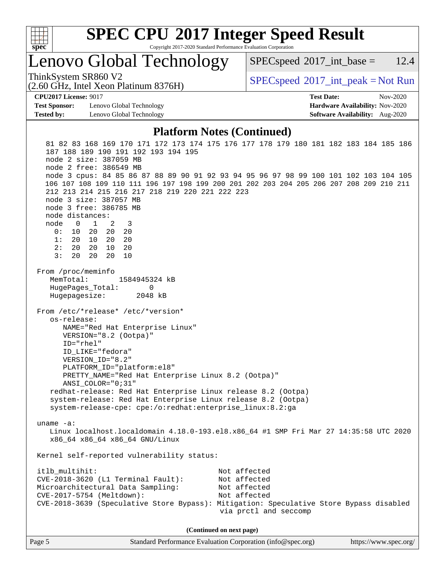

# **[SPEC CPU](http://www.spec.org/auto/cpu2017/Docs/result-fields.html#SPECCPU2017IntegerSpeedResult)[2017 Integer Speed Result](http://www.spec.org/auto/cpu2017/Docs/result-fields.html#SPECCPU2017IntegerSpeedResult)**

Copyright 2017-2020 Standard Performance Evaluation Corporation

Lenovo Global Technology

 $SPECspeed^{\circ}2017\_int\_base = 12.4$  $SPECspeed^{\circ}2017\_int\_base = 12.4$ 

(2.60 GHz, Intel Xeon Platinum 8376H)

ThinkSystem SR860 V2<br>  $\begin{array}{c} \text{SPEC speed} \textdegree 2017\_int\_peak = Not Run \end{array}$ 

**[CPU2017 License:](http://www.spec.org/auto/cpu2017/Docs/result-fields.html#CPU2017License)** 9017 **[Test Date:](http://www.spec.org/auto/cpu2017/Docs/result-fields.html#TestDate)** Nov-2020

**[Test Sponsor:](http://www.spec.org/auto/cpu2017/Docs/result-fields.html#TestSponsor)** Lenovo Global Technology **[Hardware Availability:](http://www.spec.org/auto/cpu2017/Docs/result-fields.html#HardwareAvailability)** Nov-2020 **[Tested by:](http://www.spec.org/auto/cpu2017/Docs/result-fields.html#Testedby)** Lenovo Global Technology **[Software Availability:](http://www.spec.org/auto/cpu2017/Docs/result-fields.html#SoftwareAvailability)** Aug-2020

#### **[Platform Notes \(Continued\)](http://www.spec.org/auto/cpu2017/Docs/result-fields.html#PlatformNotes)**

 81 82 83 168 169 170 171 172 173 174 175 176 177 178 179 180 181 182 183 184 185 186 187 188 189 190 191 192 193 194 195 node 2 size: 387059 MB node 2 free: 386549 MB node 3 cpus: 84 85 86 87 88 89 90 91 92 93 94 95 96 97 98 99 100 101 102 103 104 105 106 107 108 109 110 111 196 197 198 199 200 201 202 203 204 205 206 207 208 209 210 211 212 213 214 215 216 217 218 219 220 221 222 223 node 3 size: 387057 MB node 3 free: 386785 MB node distances: node 0 1 2 3 0: 10 20 20 20 1: 20 10 20 20 2: 20 20 10 20 3: 20 20 20 10 From /proc/meminfo MemTotal: 1584945324 kB HugePages\_Total: 0 Hugepagesize: 2048 kB From /etc/\*release\* /etc/\*version\* os-release: NAME="Red Hat Enterprise Linux" VERSION="8.2 (Ootpa)" ID="rhel" ID\_LIKE="fedora" VERSION\_ID="8.2" PLATFORM\_ID="platform:el8" PRETTY\_NAME="Red Hat Enterprise Linux 8.2 (Ootpa)" ANSI\_COLOR="0;31" redhat-release: Red Hat Enterprise Linux release 8.2 (Ootpa) system-release: Red Hat Enterprise Linux release 8.2 (Ootpa) system-release-cpe: cpe:/o:redhat:enterprise\_linux:8.2:ga uname -a: Linux localhost.localdomain 4.18.0-193.el8.x86\_64 #1 SMP Fri Mar 27 14:35:58 UTC 2020 x86\_64 x86\_64 x86\_64 GNU/Linux Kernel self-reported vulnerability status: itlb multihit: Not affected CVE-2018-3620 (L1 Terminal Fault): Not affected Microarchitectural Data Sampling: Not affected CVE-2017-5754 (Meltdown): Not affected CVE-2018-3639 (Speculative Store Bypass): Mitigation: Speculative Store Bypass disabled via prctl and seccomp **(Continued on next page)**

Page 5 Standard Performance Evaluation Corporation [\(info@spec.org\)](mailto:info@spec.org) <https://www.spec.org/>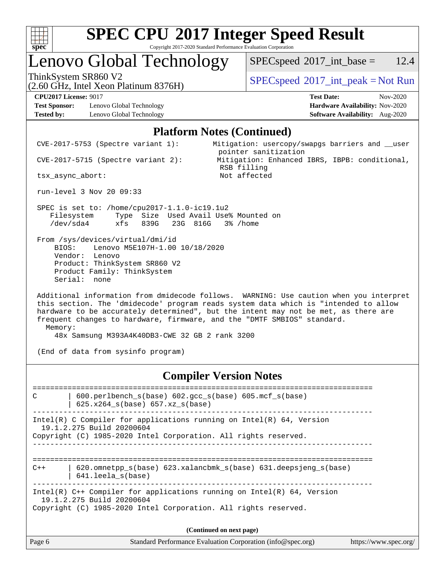

## Lenovo Global Technology

 $SPECspeed^{\circ}2017\_int\_base = 12.4$  $SPECspeed^{\circ}2017\_int\_base = 12.4$ 

(2.60 GHz, Intel Xeon Platinum 8376H)

ThinkSystem SR860 V2<br>  $\begin{array}{c} \text{SPEC speed} \textdegree 2017\_int\_peak = Not Run \end{array}$ 

**[Test Sponsor:](http://www.spec.org/auto/cpu2017/Docs/result-fields.html#TestSponsor)** Lenovo Global Technology **[Hardware Availability:](http://www.spec.org/auto/cpu2017/Docs/result-fields.html#HardwareAvailability)** Nov-2020 **[Tested by:](http://www.spec.org/auto/cpu2017/Docs/result-fields.html#Testedby)** Lenovo Global Technology **[Software Availability:](http://www.spec.org/auto/cpu2017/Docs/result-fields.html#SoftwareAvailability)** Aug-2020

**[CPU2017 License:](http://www.spec.org/auto/cpu2017/Docs/result-fields.html#CPU2017License)** 9017 **[Test Date:](http://www.spec.org/auto/cpu2017/Docs/result-fields.html#TestDate)** Nov-2020

#### **[Platform Notes \(Continued\)](http://www.spec.org/auto/cpu2017/Docs/result-fields.html#PlatformNotes)**

 CVE-2017-5753 (Spectre variant 1): Mitigation: usercopy/swapgs barriers and \_\_user pointer sanitization CVE-2017-5715 (Spectre variant 2): Mitigation: Enhanced IBRS, IBPB: conditional, RSB filling tsx\_async\_abort: Not affected run-level 3 Nov 20 09:33 SPEC is set to: /home/cpu2017-1.1.0-ic19.1u2 Filesystem Type Size Used Avail Use% Mounted on /dev/sda4 xfs 839G 23G 816G 3% /home From /sys/devices/virtual/dmi/id BIOS: Lenovo M5E107H-1.00 10/18/2020 Vendor: Lenovo Product: ThinkSystem SR860 V2 Product Family: ThinkSystem Serial: none Additional information from dmidecode follows. WARNING: Use caution when you interpret this section. The 'dmidecode' program reads system data which is "intended to allow hardware to be accurately determined", but the intent may not be met, as there are

 frequent changes to hardware, firmware, and the "DMTF SMBIOS" standard. Memory: 48x Samsung M393A4K40DB3-CWE 32 GB 2 rank 3200

(End of data from sysinfo program)

### **[Compiler Version Notes](http://www.spec.org/auto/cpu2017/Docs/result-fields.html#CompilerVersionNotes)**

Page 6 Standard Performance Evaluation Corporation [\(info@spec.org\)](mailto:info@spec.org) <https://www.spec.org/> ============================================================================== C | 600.perlbench\_s(base) 602.gcc\_s(base) 605.mcf\_s(base) | 625.x264\_s(base) 657.xz\_s(base) ------------------------------------------------------------------------------ Intel(R) C Compiler for applications running on  $Intel(R) 64$ , Version 19.1.2.275 Build 20200604 Copyright (C) 1985-2020 Intel Corporation. All rights reserved. ------------------------------------------------------------------------------ ============================================================================== C++ | 620.omnetpp\_s(base) 623.xalancbmk\_s(base) 631.deepsjeng\_s(base) | 641.leela\_s(base) ------------------------------------------------------------------------------ Intel(R) C++ Compiler for applications running on Intel(R) 64, Version 19.1.2.275 Build 20200604 Copyright (C) 1985-2020 Intel Corporation. All rights reserved. **(Continued on next page)**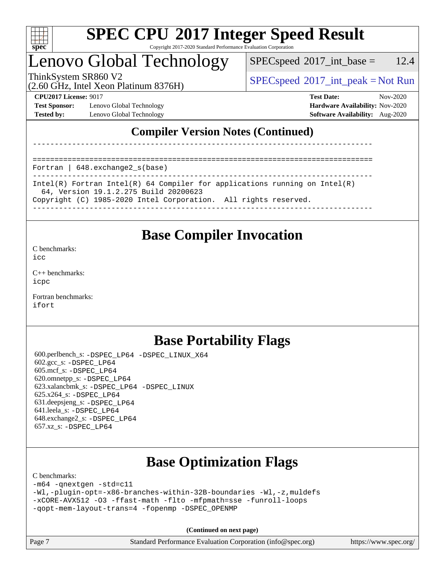

## Lenovo Global Technology

 $SPECspeed^{\circ}2017\_int\_base = 12.4$  $SPECspeed^{\circ}2017\_int\_base = 12.4$ 

(2.60 GHz, Intel Xeon Platinum 8376H)

ThinkSystem SR860 V2  $SPEC speed^{\circ}2017\_int\_peak = Not Run$ 

**[Test Sponsor:](http://www.spec.org/auto/cpu2017/Docs/result-fields.html#TestSponsor)** Lenovo Global Technology **[Hardware Availability:](http://www.spec.org/auto/cpu2017/Docs/result-fields.html#HardwareAvailability)** Nov-2020 **[Tested by:](http://www.spec.org/auto/cpu2017/Docs/result-fields.html#Testedby)** Lenovo Global Technology **[Software Availability:](http://www.spec.org/auto/cpu2017/Docs/result-fields.html#SoftwareAvailability)** Aug-2020

**[CPU2017 License:](http://www.spec.org/auto/cpu2017/Docs/result-fields.html#CPU2017License)** 9017 **[Test Date:](http://www.spec.org/auto/cpu2017/Docs/result-fields.html#TestDate)** Nov-2020

## **[Compiler Version Notes \(Continued\)](http://www.spec.org/auto/cpu2017/Docs/result-fields.html#CompilerVersionNotes)**

------------------------------------------------------------------------------

Fortran | 648.exchange2\_s(base)

------------------------------------------------------------------------------ Intel(R) Fortran Intel(R) 64 Compiler for applications running on Intel(R) 64, Version 19.1.2.275 Build 20200623 Copyright (C) 1985-2020 Intel Corporation. All rights reserved.

==============================================================================

------------------------------------------------------------------------------

## **[Base Compiler Invocation](http://www.spec.org/auto/cpu2017/Docs/result-fields.html#BaseCompilerInvocation)**

[C benchmarks](http://www.spec.org/auto/cpu2017/Docs/result-fields.html#Cbenchmarks):

[icc](http://www.spec.org/cpu2017/results/res2020q4/cpu2017-20201123-24474.flags.html#user_CCbase_intel_icc_66fc1ee009f7361af1fbd72ca7dcefbb700085f36577c54f309893dd4ec40d12360134090235512931783d35fd58c0460139e722d5067c5574d8eaf2b3e37e92)

[C++ benchmarks:](http://www.spec.org/auto/cpu2017/Docs/result-fields.html#CXXbenchmarks) [icpc](http://www.spec.org/cpu2017/results/res2020q4/cpu2017-20201123-24474.flags.html#user_CXXbase_intel_icpc_c510b6838c7f56d33e37e94d029a35b4a7bccf4766a728ee175e80a419847e808290a9b78be685c44ab727ea267ec2f070ec5dc83b407c0218cded6866a35d07)

[Fortran benchmarks](http://www.spec.org/auto/cpu2017/Docs/result-fields.html#Fortranbenchmarks): [ifort](http://www.spec.org/cpu2017/results/res2020q4/cpu2017-20201123-24474.flags.html#user_FCbase_intel_ifort_8111460550e3ca792625aed983ce982f94888b8b503583aa7ba2b8303487b4d8a21a13e7191a45c5fd58ff318f48f9492884d4413fa793fd88dd292cad7027ca)

## **[Base Portability Flags](http://www.spec.org/auto/cpu2017/Docs/result-fields.html#BasePortabilityFlags)**

 600.perlbench\_s: [-DSPEC\\_LP64](http://www.spec.org/cpu2017/results/res2020q4/cpu2017-20201123-24474.flags.html#b600.perlbench_s_basePORTABILITY_DSPEC_LP64) [-DSPEC\\_LINUX\\_X64](http://www.spec.org/cpu2017/results/res2020q4/cpu2017-20201123-24474.flags.html#b600.perlbench_s_baseCPORTABILITY_DSPEC_LINUX_X64) 602.gcc\_s: [-DSPEC\\_LP64](http://www.spec.org/cpu2017/results/res2020q4/cpu2017-20201123-24474.flags.html#suite_basePORTABILITY602_gcc_s_DSPEC_LP64) 605.mcf\_s: [-DSPEC\\_LP64](http://www.spec.org/cpu2017/results/res2020q4/cpu2017-20201123-24474.flags.html#suite_basePORTABILITY605_mcf_s_DSPEC_LP64) 620.omnetpp\_s: [-DSPEC\\_LP64](http://www.spec.org/cpu2017/results/res2020q4/cpu2017-20201123-24474.flags.html#suite_basePORTABILITY620_omnetpp_s_DSPEC_LP64) 623.xalancbmk\_s: [-DSPEC\\_LP64](http://www.spec.org/cpu2017/results/res2020q4/cpu2017-20201123-24474.flags.html#suite_basePORTABILITY623_xalancbmk_s_DSPEC_LP64) [-DSPEC\\_LINUX](http://www.spec.org/cpu2017/results/res2020q4/cpu2017-20201123-24474.flags.html#b623.xalancbmk_s_baseCXXPORTABILITY_DSPEC_LINUX) 625.x264\_s: [-DSPEC\\_LP64](http://www.spec.org/cpu2017/results/res2020q4/cpu2017-20201123-24474.flags.html#suite_basePORTABILITY625_x264_s_DSPEC_LP64) 631.deepsjeng\_s: [-DSPEC\\_LP64](http://www.spec.org/cpu2017/results/res2020q4/cpu2017-20201123-24474.flags.html#suite_basePORTABILITY631_deepsjeng_s_DSPEC_LP64) 641.leela\_s: [-DSPEC\\_LP64](http://www.spec.org/cpu2017/results/res2020q4/cpu2017-20201123-24474.flags.html#suite_basePORTABILITY641_leela_s_DSPEC_LP64) 648.exchange2\_s: [-DSPEC\\_LP64](http://www.spec.org/cpu2017/results/res2020q4/cpu2017-20201123-24474.flags.html#suite_basePORTABILITY648_exchange2_s_DSPEC_LP64) 657.xz\_s: [-DSPEC\\_LP64](http://www.spec.org/cpu2017/results/res2020q4/cpu2017-20201123-24474.flags.html#suite_basePORTABILITY657_xz_s_DSPEC_LP64)

## **[Base Optimization Flags](http://www.spec.org/auto/cpu2017/Docs/result-fields.html#BaseOptimizationFlags)**

[C benchmarks](http://www.spec.org/auto/cpu2017/Docs/result-fields.html#Cbenchmarks):

[-m64](http://www.spec.org/cpu2017/results/res2020q4/cpu2017-20201123-24474.flags.html#user_CCbase_m64-icc) [-qnextgen](http://www.spec.org/cpu2017/results/res2020q4/cpu2017-20201123-24474.flags.html#user_CCbase_f-qnextgen) [-std=c11](http://www.spec.org/cpu2017/results/res2020q4/cpu2017-20201123-24474.flags.html#user_CCbase_std-icc-std_0e1c27790398a4642dfca32ffe6c27b5796f9c2d2676156f2e42c9c44eaad0c049b1cdb667a270c34d979996257aeb8fc440bfb01818dbc9357bd9d174cb8524) [-Wl,-plugin-opt=-x86-branches-within-32B-boundaries](http://www.spec.org/cpu2017/results/res2020q4/cpu2017-20201123-24474.flags.html#user_CCbase_f-x86-branches-within-32B-boundaries_0098b4e4317ae60947b7b728078a624952a08ac37a3c797dfb4ffeb399e0c61a9dd0f2f44ce917e9361fb9076ccb15e7824594512dd315205382d84209e912f3) [-Wl,-z,muldefs](http://www.spec.org/cpu2017/results/res2020q4/cpu2017-20201123-24474.flags.html#user_CCbase_link_force_multiple1_b4cbdb97b34bdee9ceefcfe54f4c8ea74255f0b02a4b23e853cdb0e18eb4525ac79b5a88067c842dd0ee6996c24547a27a4b99331201badda8798ef8a743f577) [-xCORE-AVX512](http://www.spec.org/cpu2017/results/res2020q4/cpu2017-20201123-24474.flags.html#user_CCbase_f-xCORE-AVX512) [-O3](http://www.spec.org/cpu2017/results/res2020q4/cpu2017-20201123-24474.flags.html#user_CCbase_f-O3) [-ffast-math](http://www.spec.org/cpu2017/results/res2020q4/cpu2017-20201123-24474.flags.html#user_CCbase_f-ffast-math) [-flto](http://www.spec.org/cpu2017/results/res2020q4/cpu2017-20201123-24474.flags.html#user_CCbase_f-flto) [-mfpmath=sse](http://www.spec.org/cpu2017/results/res2020q4/cpu2017-20201123-24474.flags.html#user_CCbase_f-mfpmath_70eb8fac26bde974f8ab713bc9086c5621c0b8d2f6c86f38af0bd7062540daf19db5f3a066d8c6684be05d84c9b6322eb3b5be6619d967835195b93d6c02afa1) [-funroll-loops](http://www.spec.org/cpu2017/results/res2020q4/cpu2017-20201123-24474.flags.html#user_CCbase_f-funroll-loops) [-qopt-mem-layout-trans=4](http://www.spec.org/cpu2017/results/res2020q4/cpu2017-20201123-24474.flags.html#user_CCbase_f-qopt-mem-layout-trans_fa39e755916c150a61361b7846f310bcdf6f04e385ef281cadf3647acec3f0ae266d1a1d22d972a7087a248fd4e6ca390a3634700869573d231a252c784941a8) [-fopenmp](http://www.spec.org/cpu2017/results/res2020q4/cpu2017-20201123-24474.flags.html#user_CCbase_fopenmp_5aa2e47ce4f2ef030ba5d12d5a7a9c4e57167333d78243fcadb80b48d5abb78ff19333f8478e0b2a41e63049eb285965c145ccab7b93db7d0c4d59e4dc6f5591) [-DSPEC\\_OPENMP](http://www.spec.org/cpu2017/results/res2020q4/cpu2017-20201123-24474.flags.html#suite_CCbase_DSPEC_OPENMP)

**(Continued on next page)**

Page 7 Standard Performance Evaluation Corporation [\(info@spec.org\)](mailto:info@spec.org) <https://www.spec.org/>